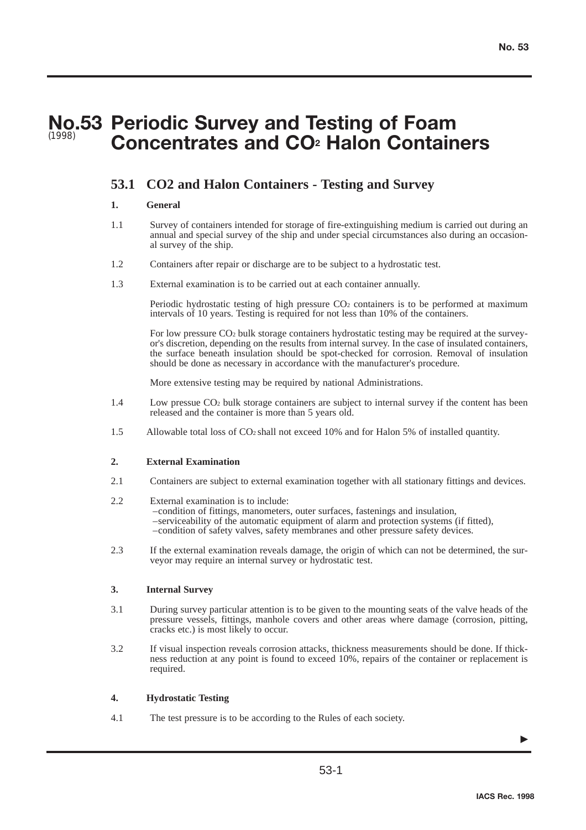# **No.53 Periodic Survey and Testing of Foam Concentrates and CO2 Halon Containers** (1998)

# **53.1 CO2 and Halon Containers - Testing and Survey**

### **1. General**

- 1.1 Survey of containers intended for storage of fire-extinguishing medium is carried out during an annual and special survey of the ship and under special circumstances also during an occasional survey of the ship.
- 1.2 Containers after repair or discharge are to be subject to a hydrostatic test.
- 1.3 External examination is to be carried out at each container annually.

Periodic hydrostatic testing of high pressure CO<sub>2</sub> containers is to be performed at maximum intervals of 10 years. Testing is required for not less than 10% of the containers.

For low pressure CO2 bulk storage containers hydrostatic testing may be required at the surveyor's discretion, depending on the results from internal survey. In the case of insulated containers, the surface beneath insulation should be spot-checked for corrosion. Removal of insulation should be done as necessary in accordance with the manufacturer's procedure.

More extensive testing may be required by national Administrations.

- 1.4 Low pressue CO2 bulk storage containers are subject to internal survey if the content has been released and the container is more than 5 years old.
- 1.5 Allowable total loss of CO2 shall not exceed 10% and for Halon 5% of installed quantity.

#### **2. External Examination**

- 2.1 Containers are subject to external examination together with all stationary fittings and devices.
- 2.2 External examination is to include: –condition of fittings, manometers, outer surfaces, fastenings and insulation, –serviceability of the automatic equipment of alarm and protection systems (if fitted), –condition of safety valves, safety membranes and other pressure safety devices.
- 2.3 If the external examination reveals damage, the origin of which can not be determined, the surveyor may require an internal survey or hydrostatic test.

## **3. Internal Survey**

- 3.1 During survey particular attention is to be given to the mounting seats of the valve heads of the pressure vessels, fittings, manhole covers and other areas where damage (corrosion, pitting, cracks etc.) is most likely to occur.
- 3.2 If visual inspection reveals corrosion attacks, thickness measurements should be done. If thickness reduction at any point is found to exceed 10%, repairs of the container or replacement is required.

## **4. Hydrostatic Testing**

4.1 The test pressure is to be according to the Rules of each society.

▼